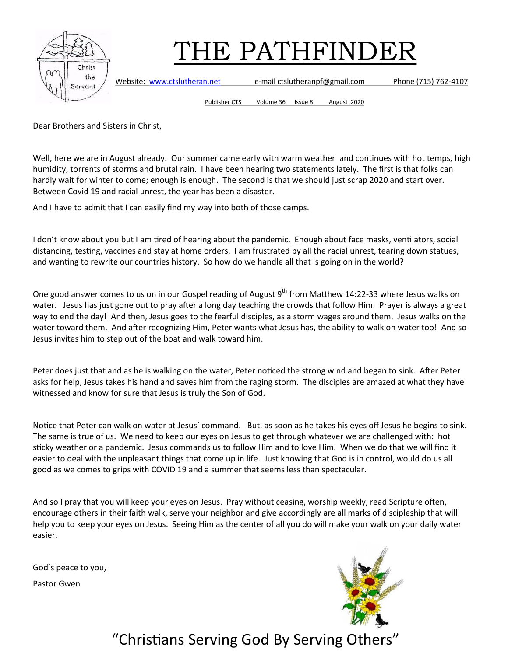

Website: [www.ctslutheran.net](http://www.ctslutheran.net/) e-mail ctslutheranpf@gmail.com Phone (715) 762-4107

Publisher CTS Volume 36 Issue 8 August 2020

Dear Brothers and Sisters in Christ,

Well, here we are in August already. Our summer came early with warm weather and continues with hot temps, high humidity, torrents of storms and brutal rain. I have been hearing two statements lately. The first is that folks can hardly wait for winter to come; enough is enough. The second is that we should just scrap 2020 and start over. Between Covid 19 and racial unrest, the year has been a disaster.

And I have to admit that I can easily find my way into both of those camps.

I don't know about you but I am tired of hearing about the pandemic. Enough about face masks, ventilators, social distancing, testing, vaccines and stay at home orders. I am frustrated by all the racial unrest, tearing down statues, and wanting to rewrite our countries history. So how do we handle all that is going on in the world?

One good answer comes to us on in our Gospel reading of August 9<sup>th</sup> from Matthew 14:22-33 where Jesus walks on water. Jesus has just gone out to pray after a long day teaching the crowds that follow Him. Prayer is always a great way to end the day! And then, Jesus goes to the fearful disciples, as a storm wages around them. Jesus walks on the water toward them. And after recognizing Him, Peter wants what Jesus has, the ability to walk on water too! And so Jesus invites him to step out of the boat and walk toward him.

Peter does just that and as he is walking on the water, Peter noticed the strong wind and began to sink. After Peter asks for help, Jesus takes his hand and saves him from the raging storm. The disciples are amazed at what they have witnessed and know for sure that Jesus is truly the Son of God.

Notice that Peter can walk on water at Jesus' command. But, as soon as he takes his eyes off Jesus he begins to sink. The same is true of us. We need to keep our eyes on Jesus to get through whatever we are challenged with: hot sticky weather or a pandemic. Jesus commands us to follow Him and to love Him. When we do that we will find it easier to deal with the unpleasant things that come up in life. Just knowing that God is in control, would do us all good as we comes to grips with COVID 19 and a summer that seems less than spectacular.

And so I pray that you will keep your eyes on Jesus. Pray without ceasing, worship weekly, read Scripture often, encourage others in their faith walk, serve your neighbor and give accordingly are all marks of discipleship that will help you to keep your eyes on Jesus. Seeing Him as the center of all you do will make your walk on your daily water easier.

God's peace to you,

Pastor Gwen

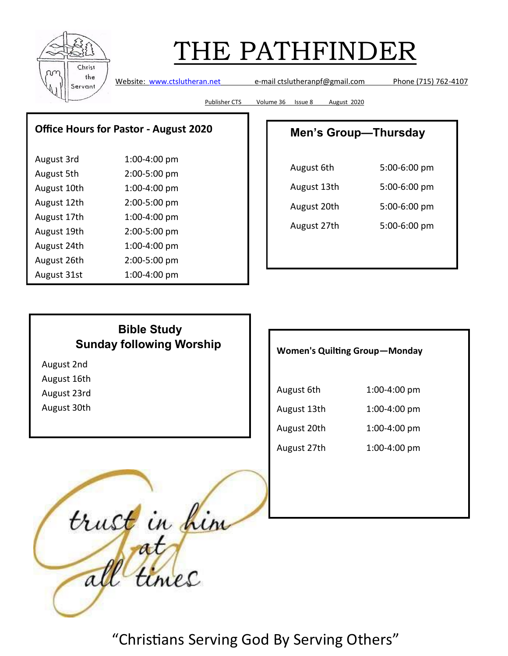

Website: [www.ctslutheran.net](http://www.ctslutheran.net/) e-mail ctslutheranpf@gmail.com Phone (715) 762-4107

Publisher CTS Volume 36 Issue 8 August 2020

### **Office Hours for Pastor - August 2020**

| August 3rd  | 1:00-4:00 pm |
|-------------|--------------|
| August 5th  | 2:00-5:00 pm |
| August 10th | 1:00-4:00 pm |
| August 12th | 2:00-5:00 pm |
| August 17th | 1:00-4:00 pm |
| August 19th | 2:00-5:00 pm |
| August 24th | 1:00-4:00 pm |
| August 26th | 2:00-5:00 pm |
| August 31st | 1:00-4:00 pm |

## **Men's Group—Thursday**

| August 6th  | 5:00-6:00 pm |
|-------------|--------------|
| August 13th | 5:00-6:00 pm |
| August 20th | 5:00-6:00 pm |
| August 27th | 5:00-6:00 pm |
|             |              |

## **Bible Study Sunday following Worship**

August 2nd

August 16th

August 23rd

August 30th

**Women's Quilting Group—Monday** 

| August 6th  | 1:00-4:00 pm |
|-------------|--------------|
| August 13th | 1:00-4:00 pm |
| August 20th | 1:00-4:00 pm |
| August 27th | 1:00-4:00 pm |

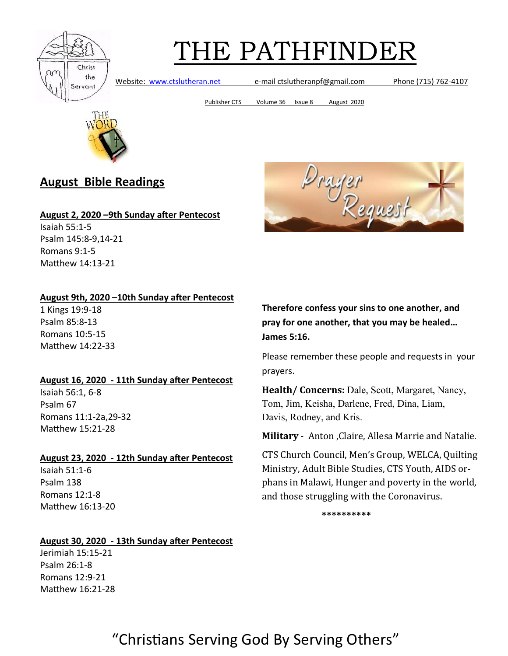

Website: [www.ctslutheran.net](http://www.ctslutheran.net/) e-mail ctslutheranpf@gmail.com Phone (715) 762-4107

Publisher CTS Volume 36 Issue 8 August 2020



## **August Bible Readings**

#### **August 2, 2020 –9th Sunday after Pentecost**

Isaiah 55:1-5 Psalm 145:8-9,14-21 Romans 9:1-5 Matthew 14:13-21

### **August 9th, 2020 –10th Sunday after Pentecost**

1 Kings 19:9-18 Psalm 85:8-13 Romans 10:5-15 Matthew 14:22-33

### **August 16, 2020 - 11th Sunday after Pentecost**

Isaiah 56:1, 6-8 Psalm 67 Romans 11:1-2a,29-32 Matthew 15:21-28

### **August 23, 2020 - 12th Sunday after Pentecost**

Isaiah 51:1-6 Psalm 138 Romans 12:1-8 Matthew 16:13-20

### **August 30, 2020 - 13th Sunday after Pentecost**

Jerimiah 15:15-21 Psalm 26:1-8 Romans 12:9-21 Matthew 16:21-28



**Therefore confess your sins to one another, and pray for one another, that you may be healed… James 5:16.**

Please remember these people and requests in your prayers.

**Health/ Concerns:** Dale, Scott, Margaret, Nancy, Tom, Jim, Keisha, Darlene, Fred, Dina, Liam, Davis, Rodney, and Kris.

**Military** - Anton ,Claire, Allesa Marrie and Natalie.

CTS Church Council, Men's Group, WELCA, Quilting Ministry, Adult Bible Studies, CTS Youth, AIDS orphans in Malawi, Hunger and poverty in the world, and those struggling with the Coronavirus.

**\*\*\*\*\*\*\*\*\*\***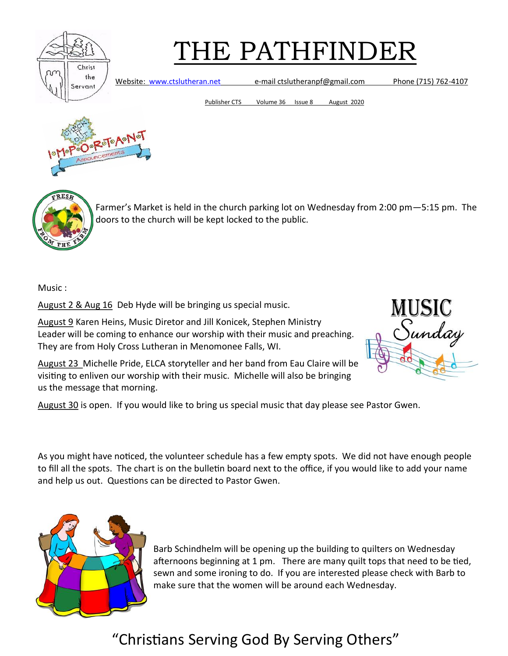

Website: [www.ctslutheran.net](http://www.ctslutheran.net/) e-mail ctslutheranpf@gmail.com Phone (715) 762-4107

Publisher CTS Volume 36 Issue 8 August 2020





Farmer's Market is held in the church parking lot on Wednesday from 2:00 pm—5:15 pm. The doors to the church will be kept locked to the public.

Music :

August 2 & Aug 16 Deb Hyde will be bringing us special music.

August 9 Karen Heins, Music Diretor and Jill Konicek, Stephen Ministry Leader will be coming to enhance our worship with their music and preaching. They are from Holy Cross Lutheran in Menomonee Falls, WI.

August 23 Michelle Pride, ELCA storyteller and her band from Eau Claire will be visiting to enliven our worship with their music. Michelle will also be bringing us the message that morning.



August 30 is open. If you would like to bring us special music that day please see Pastor Gwen.

As you might have noticed, the volunteer schedule has a few empty spots. We did not have enough people to fill all the spots. The chart is on the bulletin board next to the office, if you would like to add your name and help us out. Questions can be directed to Pastor Gwen.



Barb Schindhelm will be opening up the building to quilters on Wednesday afternoons beginning at 1 pm. There are many quilt tops that need to be tied, sewn and some ironing to do. If you are interested please check with Barb to make sure that the women will be around each Wednesday.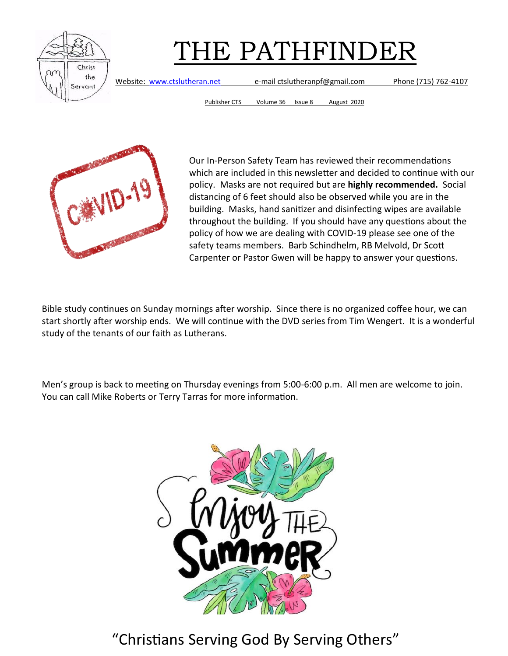

Website: [www.ctslutheran.net](http://www.ctslutheran.net/) e-mail ctslutheranpf@gmail.com Phone (715) 762-4107

Publisher CTS Volume 36 Issue 8 August 2020

Our In-Person Safety Team has reviewed their recommendations which are included in this newsletter and decided to continue with our policy. Masks are not required but are **highly recommended.** Social distancing of 6 feet should also be observed while you are in the building. Masks, hand sanitizer and disinfecting wipes are available throughout the building. If you should have any questions about the policy of how we are dealing with COVID-19 please see one of the safety teams members. Barb Schindhelm, RB Melvold, Dr Scott Carpenter or Pastor Gwen will be happy to answer your questions.

Bible study continues on Sunday mornings after worship. Since there is no organized coffee hour, we can start shortly after worship ends. We will continue with the DVD series from Tim Wengert. It is a wonderful study of the tenants of our faith as Lutherans.

Men's group is back to meeting on Thursday evenings from 5:00-6:00 p.m. All men are welcome to join. You can call Mike Roberts or Terry Tarras for more information.

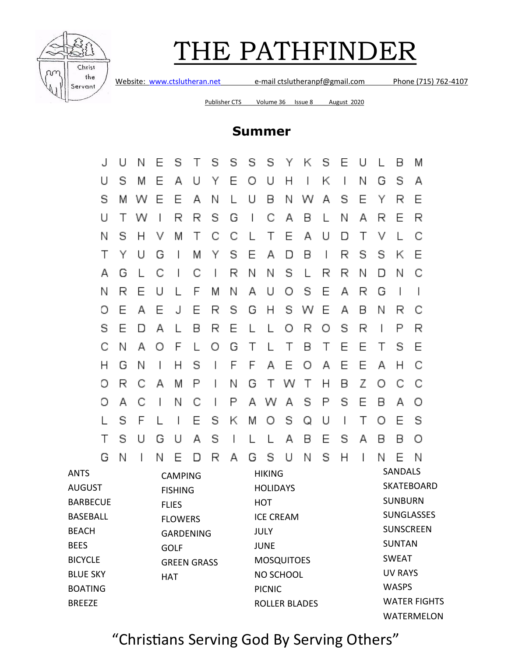

Website: [www.ctslutheran.net](http://www.ctslutheran.net/) e-mail ctslutheranpf@gmail.com Phone (715) 762-4107

Publisher CTS Volume 36 Issue 8 August 2020

## **Summer**

| J                                                                                                                                                                                           | U                                 | Ν | Ε | S | $\mathbf{I}$                                                                                     | S | S | S                 | S             | Υ | Κ                    | S            | Ε                                                 | U                                                          |                          | В            | Μ                                 |  |
|---------------------------------------------------------------------------------------------------------------------------------------------------------------------------------------------|-----------------------------------|---|---|---|--------------------------------------------------------------------------------------------------|---|---|-------------------|---------------|---|----------------------|--------------|---------------------------------------------------|------------------------------------------------------------|--------------------------|--------------|-----------------------------------|--|
| U                                                                                                                                                                                           | S                                 | M | Ε | А | U                                                                                                | Υ | Ε | Ο                 | U             | Η |                      | Κ            |                                                   | Ν                                                          | G                        | S            | Α                                 |  |
| S                                                                                                                                                                                           | M                                 | w | Ε | Ε | Α                                                                                                | Ν |   | U                 | Β             | Ν | w                    | А            | S                                                 | Ε                                                          | Υ                        | R            | Ε                                 |  |
| U                                                                                                                                                                                           | Τ                                 | w | I | R | R                                                                                                | S | G | I                 | С             | Α | В                    |              | Ν                                                 | А                                                          | R                        | Ε            | R                                 |  |
| Ν                                                                                                                                                                                           | s                                 | Н | ν | Μ | Τ                                                                                                | С | С | L                 | Τ             | Ε | Α                    | U            | D                                                 | Τ                                                          | ٧                        |              | С                                 |  |
| Τ                                                                                                                                                                                           | Υ                                 | U | G | I | M                                                                                                | Υ | S | Ε                 | Α             | D | В                    | $\mathsf{I}$ | R                                                 | S                                                          | S                        | Κ            | Ε                                 |  |
| Α                                                                                                                                                                                           | G                                 | L | С | I | С                                                                                                | I | R | Ν                 | Ν             | S | L                    | R            | R                                                 | Ν                                                          | D                        | Ν            | С                                 |  |
| Ν                                                                                                                                                                                           | R                                 | Ε | U |   | F                                                                                                | M | Ν | Α                 | U             | Ο | S                    | Ε            | А                                                 | R                                                          | G                        |              | I                                 |  |
| Ο                                                                                                                                                                                           | Ε                                 | А | Ε | J | Ε                                                                                                | R | S | G                 | Η             | S | w                    | Ε            | А                                                 | Β                                                          | Ν                        | R            | С                                 |  |
| S                                                                                                                                                                                           | Ε                                 | n | Α |   | В                                                                                                | R | Ε |                   | L             | Ο | R                    | Ο            | S                                                 | R                                                          | $\overline{\phantom{a}}$ | Ρ            | R                                 |  |
| С                                                                                                                                                                                           | Ν                                 | Α | Ο | F |                                                                                                  | Ο | G | Τ                 | L             | Τ | В                    | Τ            | Ε                                                 | Е                                                          | Τ                        | S            | Ε                                 |  |
| Η                                                                                                                                                                                           | G                                 | Ν | I | Η | S                                                                                                |   | F | F                 | Α             | Ε | Ο                    | Α            | Ε                                                 | Ε                                                          | Α                        | Н            | С                                 |  |
| Ο                                                                                                                                                                                           | R                                 | С | Α | M | Ρ                                                                                                | I | Ν | G                 | Τ             | W | Τ                    | Н            | в                                                 | Ζ                                                          | Ο                        | С            | С                                 |  |
| Ο                                                                                                                                                                                           | А                                 | С | I | Ν | С                                                                                                |   | Ρ | А                 | w             | Α | S                    | Ρ            | S                                                 | Ε                                                          | В                        | Α            | О                                 |  |
| L                                                                                                                                                                                           | S                                 | F |   |   | Ε                                                                                                | S | Κ | M                 | Ο             | S | Q                    | U            |                                                   | Τ                                                          | Ο                        | Ε            | S                                 |  |
| Τ                                                                                                                                                                                           | S                                 | U | G | U | А                                                                                                | S |   |                   |               | Α | В                    | Е            | S                                                 | А                                                          | В                        | В            | О                                 |  |
| G                                                                                                                                                                                           | Ν                                 |   | Ν | Е | n                                                                                                | R | А | G                 | S             | U | Ν                    | S            | Н                                                 | I                                                          | Ν                        | Е            | Ν                                 |  |
| <b>ANTS</b><br><b>CAMPING</b><br><b>AUGUST</b><br><b>FISHING</b><br><b>BARBECUE</b><br><b>FLIES</b><br><b>BASEBALL</b><br><b>FLOWERS</b><br><b>BEACH</b><br><b>GARDENING</b><br><b>BEES</b> |                                   |   |   |   | <b>HIKING</b><br><b>HOLIDAYS</b><br><b>HOT</b><br><b>ICE CREAM</b><br><b>JULY</b><br><b>JUNE</b> |   |   |                   |               |   |                      |              | <b>SANDALS</b><br><b>SUNBURN</b><br><b>SUNTAN</b> | <b>SKATEBOARD</b><br><b>SUNGLASSES</b><br><b>SUNSCREEN</b> |                          |              |                                   |  |
| <b>BICYCLE</b>                                                                                                                                                                              | <b>GOLF</b><br><b>GREEN GRASS</b> |   |   |   |                                                                                                  |   |   | <b>MOSQUITOES</b> |               |   |                      |              |                                                   |                                                            | <b>SWEAT</b>             |              |                                   |  |
| <b>BLUE SKY</b>                                                                                                                                                                             | <b>HAT</b>                        |   |   |   |                                                                                                  |   |   | NO SCHOOL         |               |   |                      |              |                                                   |                                                            | <b>UV RAYS</b>           |              |                                   |  |
| <b>BOATING</b>                                                                                                                                                                              |                                   |   |   |   |                                                                                                  |   |   |                   | <b>PICNIC</b> |   |                      |              |                                                   |                                                            |                          | <b>WASPS</b> |                                   |  |
| <b>BREEZE</b>                                                                                                                                                                               |                                   |   |   |   |                                                                                                  |   |   |                   |               |   | <b>ROLLER BLADES</b> |              |                                                   |                                                            |                          |              | <b>WATER FIGHTS</b><br>WATERMELON |  |
|                                                                                                                                                                                             |                                   |   |   |   |                                                                                                  |   |   |                   |               |   |                      |              |                                                   |                                                            |                          |              |                                   |  |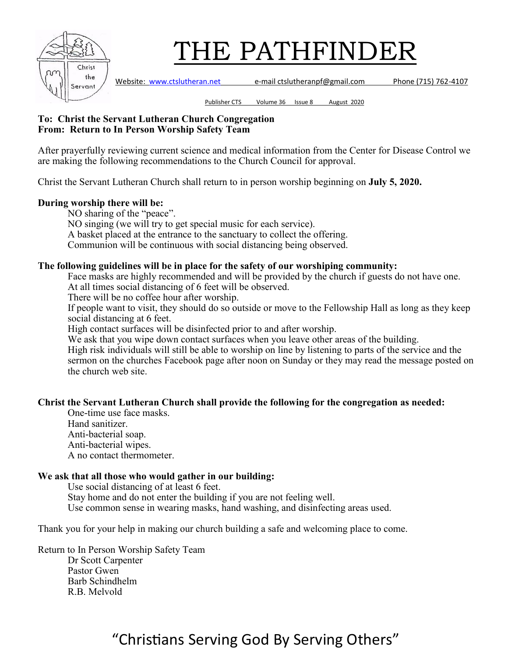

Publisher CTS Volume 36 Issue 8 August 2020

#### **To: Christ the Servant Lutheran Church Congregation From: Return to In Person Worship Safety Team**

After prayerfully reviewing current science and medical information from the Center for Disease Control we are making the following recommendations to the Church Council for approval.

Christ the Servant Lutheran Church shall return to in person worship beginning on **July 5, 2020.**

### **During worship there will be:**

NO sharing of the "peace". NO singing (we will try to get special music for each service). A basket placed at the entrance to the sanctuary to collect the offering. Communion will be continuous with social distancing being observed.

### **The following guidelines will be in place for the safety of our worshiping community:**

Face masks are highly recommended and will be provided by the church if guests do not have one. At all times social distancing of 6 feet will be observed.

There will be no coffee hour after worship.

If people want to visit, they should do so outside or move to the Fellowship Hall as long as they keep social distancing at 6 feet.

High contact surfaces will be disinfected prior to and after worship.

We ask that you wipe down contact surfaces when you leave other areas of the building.

High risk individuals will still be able to worship on line by listening to parts of the service and the sermon on the churches Facebook page after noon on Sunday or they may read the message posted on the church web site.

### **Christ the Servant Lutheran Church shall provide the following for the congregation as needed:**

One-time use face masks. Hand sanitizer. Anti-bacterial soap. Anti-bacterial wipes. A no contact thermometer.

### **We ask that all those who would gather in our building:**

Use social distancing of at least 6 feet. Stay home and do not enter the building if you are not feeling well. Use common sense in wearing masks, hand washing, and disinfecting areas used.

Thank you for your help in making our church building a safe and welcoming place to come.

Return to In Person Worship Safety Team Dr Scott Carpenter Pastor Gwen Barb Schindhelm R.B. Melvold